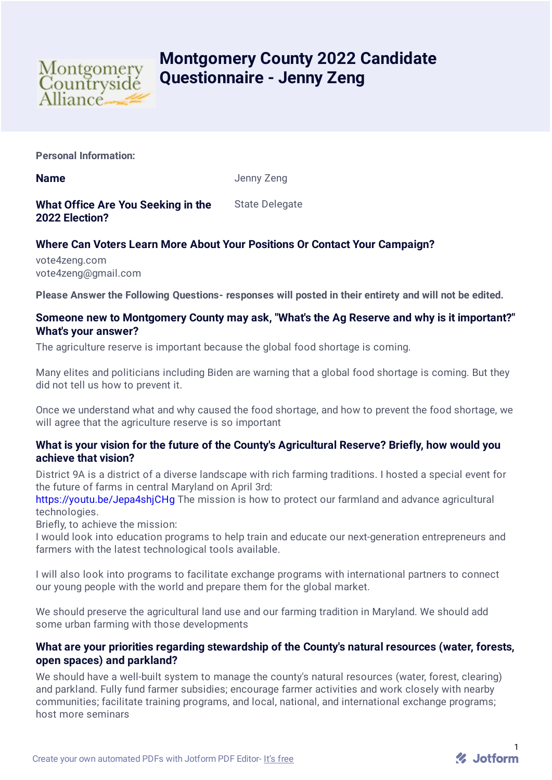

# **Montgomery County 2022 Candidate Questionnaire - Jenny Zeng**

**Personal Information:**

**Name** Jenny Zeng

**What Office Are You Seeking in the 2022 Election?** State Delegate

## **Where Can Voters Learn More About Your Positions Or Contact Your Campaign?**

vote4zeng.com vote4zeng@gmail.com

**Please Answer the Following Questions- responses will posted in their entirety and will not be edited.**

## **Someone new to Montgomery County may ask, "What's the Ag Reserve and why is it important?" What's your answer?**

The agriculture reserve is important because the global food shortage is coming.

Many elites and politicians including Biden are warning that a global food shortage is coming. But they did not tell us how to prevent it.

Once we understand what and why caused the food shortage, and how to prevent the food shortage, we will agree that the agriculture reserve is so important

## **What is your vision for the future of the County's Agricultural Reserve? Briefly, how would you achieve that vision?**

District 9A is a district of a diverse landscape with rich farming traditions. I hosted a special event for the future of farms in central Maryland on April 3rd:

<https://youtu.be/Jepa4shjCHg> The mission is how to protect our farmland and advance agricultural technologies.

Briefly, to achieve the mission:

I would look into education programs to help train and educate our next-generation entrepreneurs and farmers with the latest technological tools available.

I will also look into programs to facilitate exchange programs with international partners to connect our young people with the world and prepare them for the global market.

We should preserve the agricultural land use and our farming tradition in Maryland. We should add some urban farming with those developments

## **What are your priorities regarding stewardship of the County's natural resources (water, forests, open spaces) and parkland?**

We should have a well-built system to manage the county's natural resources (water, forest, clearing) and parkland. Fully fund farmer subsidies; encourage farmer activities and work closely with nearby communities; facilitate training programs, and local, national, and international exchange programs; host more seminars

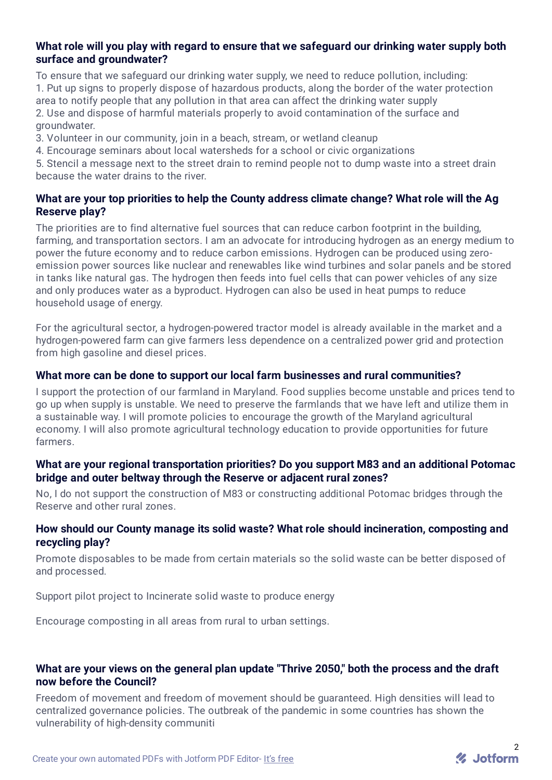## **What role will you play with regard to ensure that we safeguard our drinking water supply both surface and groundwater?**

To ensure that we safeguard our drinking water supply, we need to reduce pollution, including: 1. Put up signs to properly dispose of hazardous products, along the border of the water protection area to notify people that any pollution in that area can affect the drinking water supply 2. Use and dispose of harmful materials properly to avoid contamination of the surface and groundwater.

3. Volunteer in our community, join in a beach, stream, or wetland cleanup

4. Encourage seminars about local watersheds for a school or civic organizations

5. Stencil a message next to the street drain to remind people not to dump waste into a street drain because the water drains to the river.

## **What are your top priorities to help the County address climate change? What role will the Ag Reserve play?**

The priorities are to find alternative fuel sources that can reduce carbon footprint in the building, farming, and transportation sectors. I am an advocate for introducing hydrogen as an energy medium to power the future economy and to reduce carbon emissions. Hydrogen can be produced using zeroemission power sources like nuclear and renewables like wind turbines and solar panels and be stored in tanks like natural gas. The hydrogen then feeds into fuel cells that can power vehicles of any size and only produces water as a byproduct. Hydrogen can also be used in heat pumps to reduce household usage of energy.

For the agricultural sector, a hydrogen-powered tractor model is already available in the market and a hydrogen-powered farm can give farmers less dependence on a centralized power grid and protection from high gasoline and diesel prices.

## **What more can be done to support our local farm businesses and rural communities?**

I support the protection of our farmland in Maryland. Food supplies become unstable and prices tend to go up when supply is unstable. We need to preserve the farmlands that we have left and utilize them in a sustainable way. I will promote policies to encourage the growth of the Maryland agricultural economy. I will also promote agricultural technology education to provide opportunities for future farmers.

## **What are your regional transportation priorities? Do you support M83 and an additional Potomac bridge and outer beltway through the Reserve or adjacent rural zones?**

No, I do not support the construction of M83 or constructing additional Potomac bridges through the Reserve and other rural zones.

## **How should our County manage its solid waste? What role should incineration, composting and recycling play?**

Promote disposables to be made from certain materials so the solid waste can be better disposed of and processed.

Support pilot project to Incinerate solid waste to produce energy

Encourage composting in all areas from rural to urban settings.

## **What are your views on the general plan update "Thrive 2050," both the process and the draft now before the Council?**

Freedom of movement and freedom of movement should be guaranteed. High densities will lead to centralized governance policies. The outbreak of the pandemic in some countries has shown the vulnerability of high-density communiti